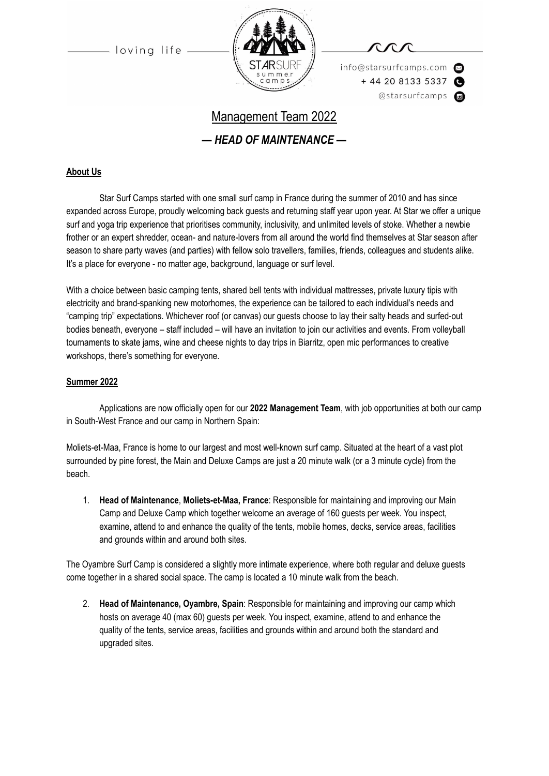loving life



info@starsurfcamps.com  $+442081335337$ @starsurfcamps @

# Management Team 2022

*— HEAD OF MAINTENANCE —*

#### **About Us**

Star Surf Camps started with one small surf camp in France during the summer of 2010 and has since expanded across Europe, proudly welcoming back guests and returning staff year upon year. At Star we offer a unique surf and yoga trip experience that prioritises community, inclusivity, and unlimited levels of stoke. Whether a newbie frother or an expert shredder, ocean- and nature-lovers from all around the world find themselves at Star season after season to share party waves (and parties) with fellow solo travellers, families, friends, colleagues and students alike. It's a place for everyone - no matter age, background, language or surf level.

With a choice between basic camping tents, shared bell tents with individual mattresses, private luxury tipis with electricity and brand-spanking new motorhomes, the experience can be tailored to each individual's needs and "camping trip" expectations. Whichever roof (or canvas) our guests choose to lay their salty heads and surfed-out bodies beneath, everyone – staff included – will have an invitation to join our activities and events. From volleyball tournaments to skate jams, wine and cheese nights to day trips in Biarritz, open mic performances to creative workshops, there's something for everyone.

#### **Summer 2022**

Applications are now officially open for our **2022 Management Team**, with job opportunities at both our camp in South-West France and our camp in Northern Spain:

Moliets-et-Maa, France is home to our largest and most well-known surf camp. Situated at the heart of a vast plot surrounded by pine forest, the Main and Deluxe Camps are just a 20 minute walk (or a 3 minute cycle) from the beach.

1. **Head of Maintenance**, **Moliets-et-Maa, France**: Responsible for maintaining and improving our Main Camp and Deluxe Camp which together welcome an average of 160 guests per week. You inspect, examine, attend to and enhance the quality of the tents, mobile homes, decks, service areas, facilities and grounds within and around both sites.

The Oyambre Surf Camp is considered a slightly more intimate experience, where both regular and deluxe guests come together in a shared social space. The camp is located a 10 minute walk from the beach.

2. **Head of Maintenance, Oyambre, Spain**: Responsible for maintaining and improving our camp which hosts on average 40 (max 60) guests per week. You inspect, examine, attend to and enhance the quality of the tents, service areas, facilities and grounds within and around both the standard and upgraded sites.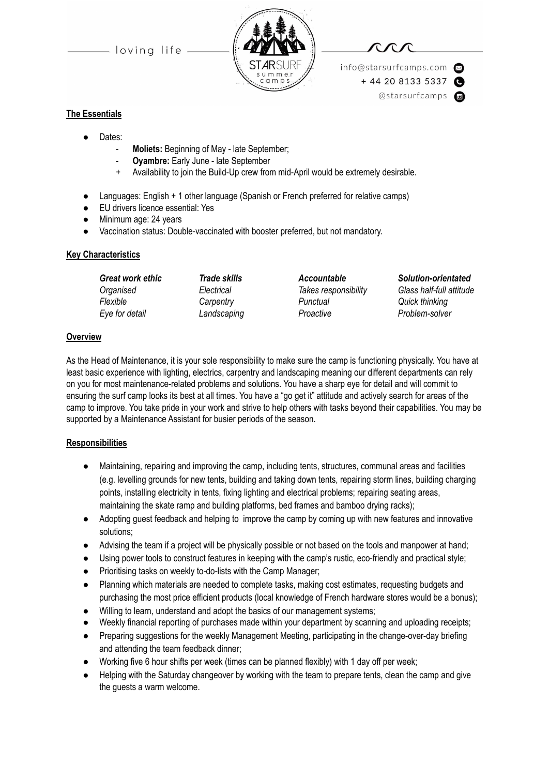loving life



info@starsurfcamps.com  $+442081335337$ @starsurfcamps @

#### **The Essentials**

- Dates:
	- **Moliets:** Beginning of May late September;
	- **Oyambre:** Early June late September
	- Availability to join the Build-Up crew from mid-April would be extremely desirable.
- Languages: English + 1 other language (Spanish or French preferred for relative camps)
- EU drivers licence essential: Yes
- Minimum age: 24 years
- Vaccination status: Double-vaccinated with booster preferred, but not mandatory.

#### **Key Characteristics**

| <b>Great work ethic</b> | <b>Trade skills</b> |  |
|-------------------------|---------------------|--|
| Organised               | Electrical          |  |
| Flexible                | Carpentry           |  |
| Eye for detail          | Landscaping         |  |

*Flexible Carpentry Punctual Quick thinking Eye for detail Landscaping Proactive Problem-solver*

*Great work ethic Trade skills Accountable Solution-orientated Organised Electrical Takes responsibility Glass half-full attitude*

#### **Overview**

As the Head of Maintenance, it is your sole responsibility to make sure the camp is functioning physically. You have at least basic experience with lighting, electrics, carpentry and landscaping meaning our different departments can rely on you for most maintenance-related problems and solutions. You have a sharp eye for detail and will commit to ensuring the surf camp looks its best at all times. You have a "go get it" attitude and actively search for areas of the camp to improve. You take pride in your work and strive to help others with tasks beyond their capabilities. You may be supported by a Maintenance Assistant for busier periods of the season.

#### **Responsibilities**

- Maintaining, repairing and improving the camp, including tents, structures, communal areas and facilities (e.g. levelling grounds for new tents, building and taking down tents, repairing storm lines, building charging points, installing electricity in tents, fixing lighting and electrical problems; repairing seating areas, maintaining the skate ramp and building platforms, bed frames and bamboo drying racks);
- Adopting guest feedback and helping to improve the camp by coming up with new features and innovative solutions;
- Advising the team if a project will be physically possible or not based on the tools and manpower at hand;
- Using power tools to construct features in keeping with the camp's rustic, eco-friendly and practical style;
- Prioritising tasks on weekly to-do-lists with the Camp Manager;
- Planning which materials are needed to complete tasks, making cost estimates, requesting budgets and purchasing the most price efficient products (local knowledge of French hardware stores would be a bonus);
- Willing to learn, understand and adopt the basics of our management systems;
- Weekly financial reporting of purchases made within your department by scanning and uploading receipts;
- Preparing suggestions for the weekly Management Meeting, participating in the change-over-day briefing and attending the team feedback dinner;
- Working five 6 hour shifts per week (times can be planned flexibly) with 1 day off per week;
- Helping with the Saturday changeover by working with the team to prepare tents, clean the camp and give the guests a warm welcome.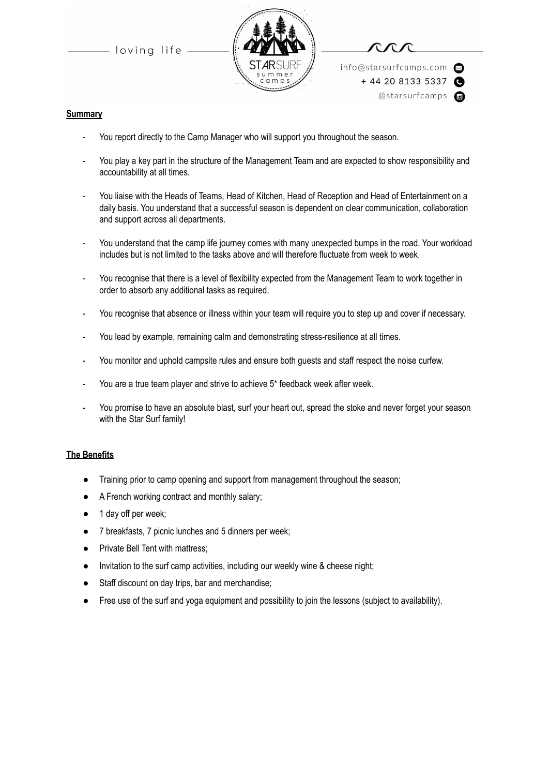loving life



info@starsurfcamps.com  $+442081335337$ @starsurfcamps @

#### **Summary**

- You report directly to the Camp Manager who will support you throughout the season.
- You play a key part in the structure of the Management Team and are expected to show responsibility and accountability at all times.
- You liaise with the Heads of Teams, Head of Kitchen, Head of Reception and Head of Entertainment on a daily basis. You understand that a successful season is dependent on clear communication, collaboration and support across all departments.
- You understand that the camp life journey comes with many unexpected bumps in the road. Your workload includes but is not limited to the tasks above and will therefore fluctuate from week to week.
- You recognise that there is a level of flexibility expected from the Management Team to work together in order to absorb any additional tasks as required.
- You recognise that absence or illness within your team will require you to step up and cover if necessary.
- You lead by example, remaining calm and demonstrating stress-resilience at all times.
- You monitor and uphold campsite rules and ensure both guests and staff respect the noise curfew.
- You are a true team player and strive to achieve 5\* feedback week after week.
- You promise to have an absolute blast, surf your heart out, spread the stoke and never forget your season with the Star Surf family!

#### **The Benefits**

- Training prior to camp opening and support from management throughout the season;
- A French working contract and monthly salary;
- 1 day off per week;
- 7 breakfasts, 7 picnic lunches and 5 dinners per week;
- Private Bell Tent with mattress;
- Invitation to the surf camp activities, including our weekly wine & cheese night;
- Staff discount on day trips, bar and merchandise;
- Free use of the surf and yoga equipment and possibility to join the lessons (subject to availability).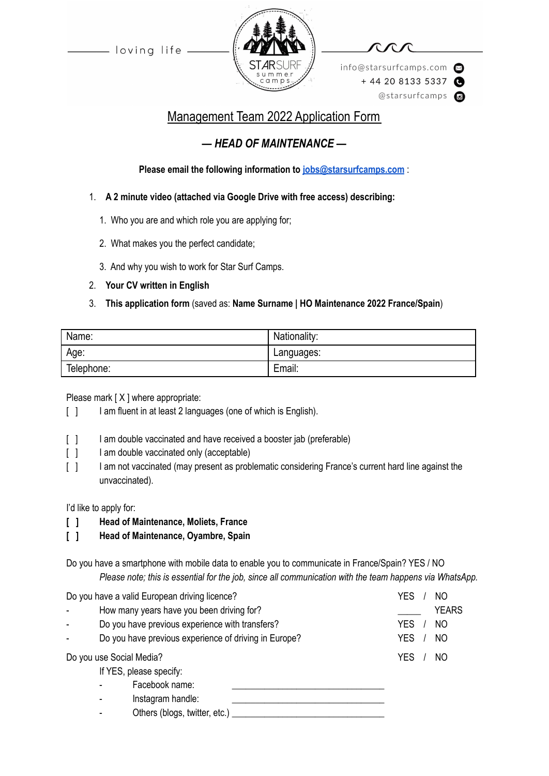- loving life -



info@starsurfcamps.com  $+442081335337$ @starsurfcamps @

## Management Team 2022 Application Form

## *— HEAD OF MAINTENANCE —*

**Please email the following information to [jobs@starsurfcamps.com](mailto:jobs@starsurfcamps.com)** :

- 1. **A 2 minute video (attached via Google Drive with free access) describing:**
	- 1️. Who you are and which role you are applying for;
	- 2. What makes you the perfect candidate;
	- 3️. And why you wish to work for Star Surf Camps.
- 2. **Your CV written in English**

### 3. **This application form** (saved as: **Name Surname | HO Maintenance 2022 France/Spain**)

| Name:      | Nationality: |
|------------|--------------|
| Age:       | Languages:   |
| Telephone: | Email:       |

Please mark [X ] where appropriate:

- [ ] I am fluent in at least 2 languages (one of which is English).
- [  $\vert$  ] I am double vaccinated and have received a booster jab (preferable)
- [ ] I am double vaccinated only (acceptable)
- [ ] I am not vaccinated (may present as problematic considering France's current hard line against the unvaccinated).

I'd like to apply for:

- **[ ] Head of Maintenance, Moliets, France**
- **[ ] Head of Maintenance, Oyambre, Spain**

Do you have a smartphone with mobile data to enable you to communicate in France/Spain? YES / NO *Please note; this is essential for the job, since all communication with the team happens via WhatsApp.*

Do you have a valid European driving licence? The Contract Contract Contract Contract Contract Contract Contract Contract Contract Contract Contract Contract Contract Contract Contract Contract Contract Contract Contract C How many years have you been driving for? <br>
How many years have you been driving for? Do you have previous experience with transfers? VES / NO Do you have previous experience of driving in Europe? YES / NO Do you use Social Media? The Social Section of the Social Africa Section 1. The Society of the Society of the S If YES, please specify: Facebook name: Instagram handle: Others (blogs, twitter, etc.)